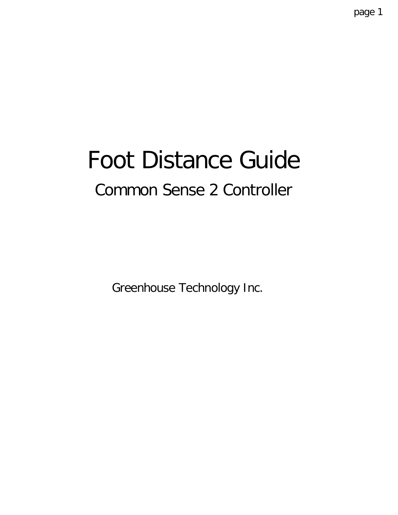# Foot Distance Guide Common Sense 2 Controller

Greenhouse Technology Inc.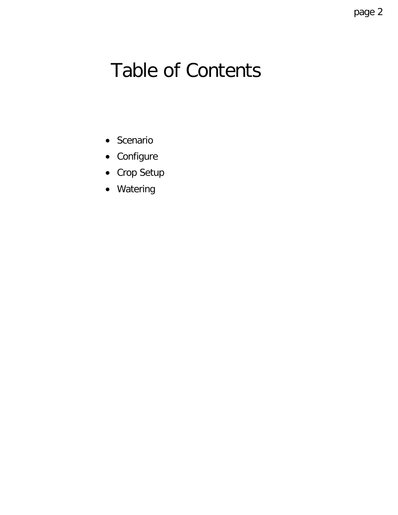## Table of Contents

- Scenario
- Configure
- Crop Setup
- Watering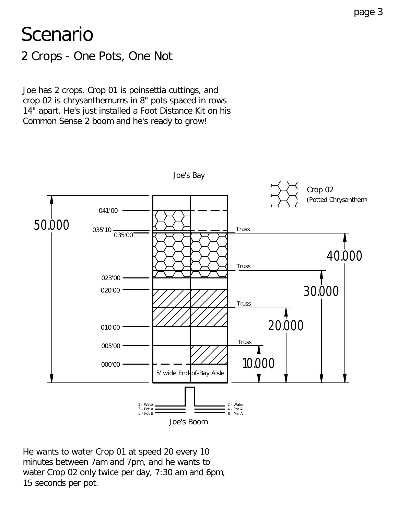## Scenario

2 Crops - One Pots, One Not

Joe has 2 crops. Crop 01 is poinsettia cuttings, and crop 02 is chrysanthemums in 8" pots spaced in rows 14" apart. He's just installed a Foot Distance Kit on his Common Sense 2 boom and he's ready to grow!



He wants to water Crop 01 at speed 20 every 10 minutes between 7am and 7pm, and he wants to water Crop 02 only twice per day, 7:30 am and 6pm, 15 seconds per pot.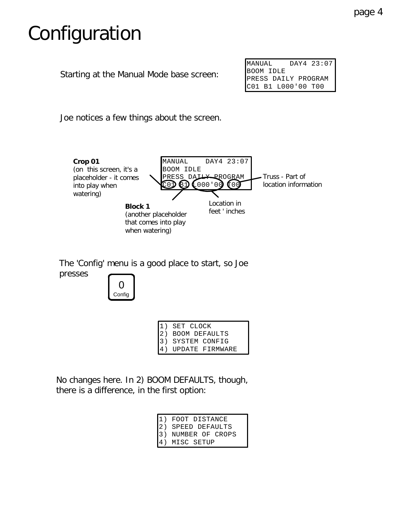## Configuration

Starting at the Manual Mode base screen:

| MANUAL                                    | DAY4 23:07 |
|-------------------------------------------|------------|
| BOOM IDLE                                 |            |
|                                           |            |
| PRESS DAILY PROGRAM<br>C01 B1 L000'00 T00 |            |

Joe notices a few things about the screen.



The 'Config' menu is a good place to start, so Joe presses



|                   | 1) SET CLOCK    |
|-------------------|-----------------|
| $\vert 2 \rangle$ | BOOM DEFAULTS   |
| $\overline{13}$ ) | SYSTEM CONFIG   |
|                   | UPDATE FIRMWARE |

No changes here. In 2) BOOM DEFAULTS, though, there is a difference, in the first option:

|                   | FOOT DISTANCE   |
|-------------------|-----------------|
| $\vert 2 \rangle$ | SPEED DEFAULTS  |
| $ 3\rangle$       | NUMBER OF CROPS |
|                   | MISC SETUP      |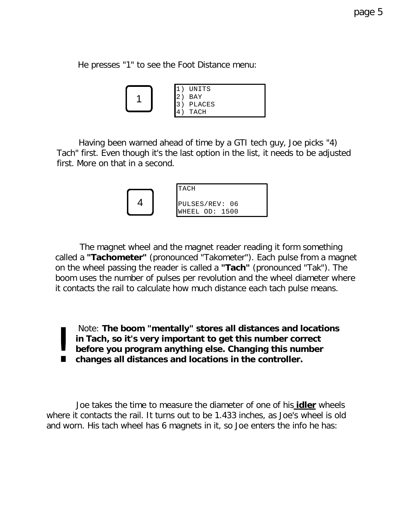He presses "1" to see the Foot Distance menu:

|  | UNITS  |
|--|--------|
|  | BAY    |
|  | PLACES |
|  | TACH   |

 Having been warned ahead of time by a GTI tech guy, Joe picks "4) Tach" first. Even though it's the last option in the list, it needs to be adjusted first. More on that in a second.

|  | TACH                             |
|--|----------------------------------|
|  | PULSES/REV: 06<br>WHEEL OD: 1500 |

 The magnet wheel and the magnet reader reading it form something called a **"Tachometer"** (pronounced "Takometer"). Each pulse from a magnet on the wheel passing the reader is called a **"Tach"** (pronounced "Tak"). The boom uses the number of pulses per revolution and the wheel diameter where it contacts the rail to calculate how much distance each tach pulse means.

 Note: **The boom "mentally" stores all distances and locations in Tach, so it's very important to get this number correct before you program anything else. Changing this number changes all distances and locations in the controller.** |<br>|<br>|

 Joe takes the time to measure the diameter of one of his **idler** wheels where it contacts the rail. It turns out to be 1.433 inches, as Joe's wheel is old and worn. His tach wheel has 6 magnets in it, so Joe enters the info he has: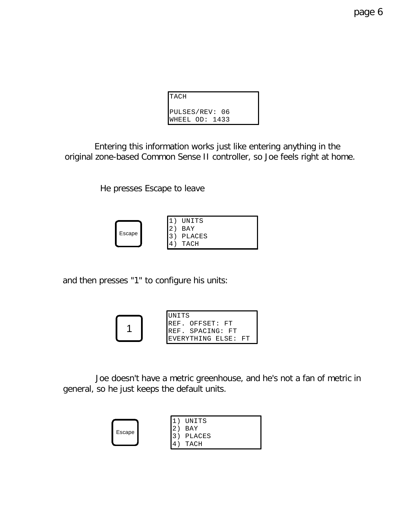| ITACH                            |  |
|----------------------------------|--|
| PULSES/REV: 06<br>WHEEL OD: 1433 |  |

 Entering this information works just like entering anything in the original zone-based Common Sense II controller, so Joe feels right at home.

He presses Escape to leave

|        |  | UNITS  |
|--------|--|--------|
|        |  | BAY    |
| Escape |  | PLACES |
|        |  | TACH   |

and then presses "1" to configure his units:



 Joe doesn't have a metric greenhouse, and he's not a fan of metric in general, so he just keeps the default units.

|        |   | <b>INITS</b> |
|--------|---|--------------|
|        |   | RAY          |
| Escape |   | PLACES       |
|        | Δ | ACH          |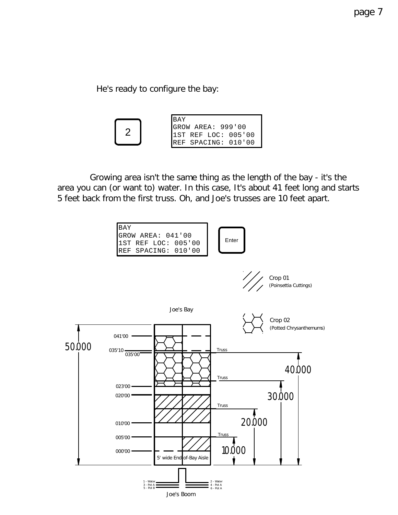He's ready to configure the bay:



 Growing area isn't the same thing as the length of the bay - it's the area you can (or want to) water. In this case, It's about 41 feet long and starts 5 feet back from the first truss. Oh, and Joe's trusses are 10 feet apart.

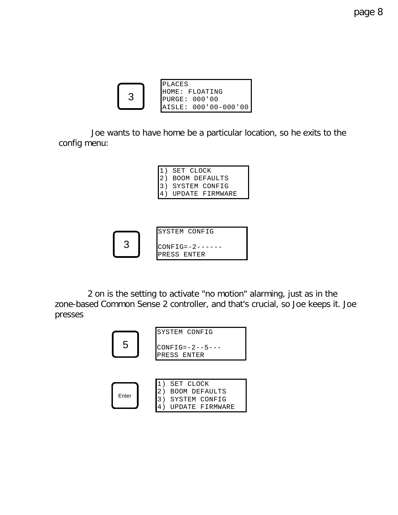| <b>IPLACES</b>        |
|-----------------------|
| HOME: FLOATING        |
| PURGE: 000'00         |
| BATSLE: 000'00-000'00 |

 Joe wants to have home be a particular location, so he exits to the config menu:

```
1) SET CLOCK
2) BOOM DEFAULTS
3) SYSTEM CONFIG
4) UPDATE FIRMWARE
```


 2 on is the setting to activate "no motion" alarming, just as in the zone-based Common Sense 2 controller, and that's crucial, so Joe keeps it. Joe presses

| 5     | SYSTEM CONFIG<br>$CONFIG = -2 - -5 - - -$<br>PRESS ENTER                               |  |  |
|-------|----------------------------------------------------------------------------------------|--|--|
| Enter | 1)<br>SET CLOCK<br>2.<br><b>BOOM DEFAULTS</b><br>3<br>SYSTEM CONFIG<br>UPDATE FIRMWARE |  |  |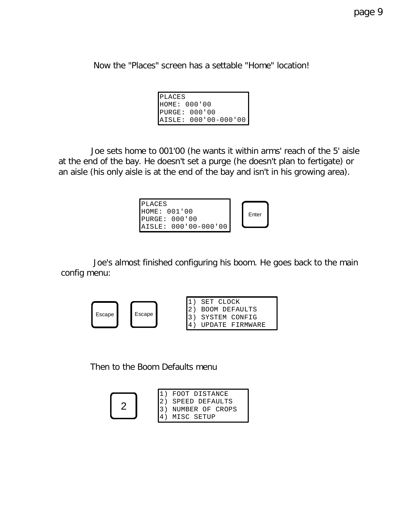Now the "Places" screen has a settable "Home" location!

| IPLACES |                      |
|---------|----------------------|
|         | HOME: 000'00         |
|         | PURGE: 000'00        |
|         | AISLE: 000'00-000'00 |

 Joe sets home to 001'00 (he wants it within arms' reach of the 5' aisle at the end of the bay. He doesn't set a purge (he doesn't plan to fertigate) or an aisle (his only aisle is at the end of the bay and isn't in his growing area).

| <b>IPLACES</b>       |       |
|----------------------|-------|
| HOME: 001'00         | Enter |
| IPIRGE: 000'00       |       |
| AISLE: 000'00-000'00 |       |

 Joe's almost finished configuring his boom. He goes back to the main config menu:



Then to the Boom Defaults menu

1) FOOT DISTANCE 2) SPEED DEFAULTS 3) NUMBER OF CROPS 4) MISC SETUP 2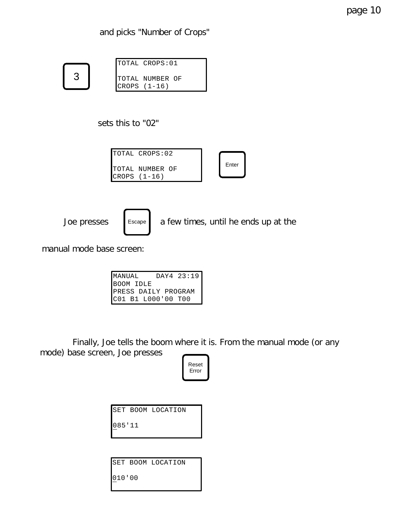and picks "Number of Crops"

| ٩ |  |
|---|--|
|   |  |

| TOTAL CROPS:01  |
|-----------------|
| TOTAL NUMBER OF |
| CROPS (1-16)    |

sets this to "02"

| Enter |  |
|-------|--|
|       |  |



Joe presses  $\left\lceil \begin{array}{c} \text{Escape} \\ \text{A few times, until he ends up at the } \end{array} \right\rceil$ 

manual mode base screen:

| MANUAL    |                    | DAY4 23:19          |
|-----------|--------------------|---------------------|
| BOOM IDLE |                    |                     |
|           |                    | PRESS DAILY PROGRAM |
|           | C01 B1 L000'00 T00 |                     |

 Finally, Joe tells the boom where it is. From the manual mode (or any mode) base screen, Joe presses



SET BOOM LOCATION

085'11

|        | SET BOOM LOCATION |
|--------|-------------------|
| 010'00 |                   |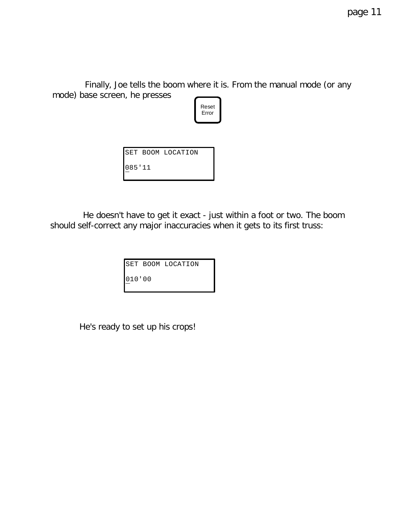Finally, Joe tells the boom where it is. From the manual mode (or any mode) base screen, he presses



|        | SET BOOM LOCATION |
|--------|-------------------|
| 085'11 |                   |

 He doesn't have to get it exact - just within a foot or two. The boom should self-correct any major inaccuracies when it gets to its first truss:

|        | SET BOOM LOCATION |
|--------|-------------------|
| 010'00 |                   |

He's ready to set up his crops!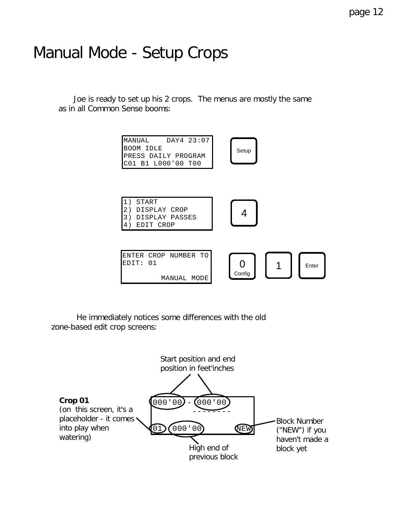### Manual Mode - Setup Crops

 Joe is ready to set up his 2 crops. The menus are mostly the same as in all Common Sense booms:



 He immediately notices some differences with the old zone-based edit crop screens:

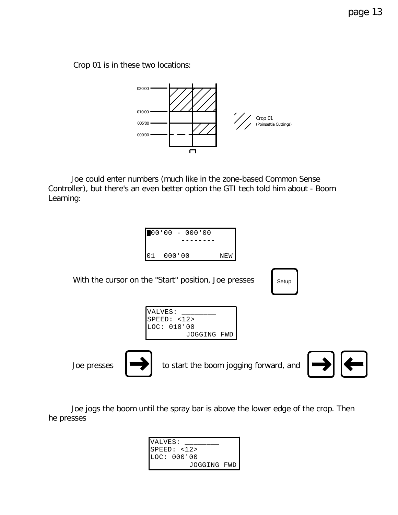Crop 01 is in these two locations:



 Joe could enter numbers (much like in the zone-based Common Sense Controller), but there's an even better option the GTI tech told him about - Boom Learning:



Joe presses



to start the boom jogging forward, and



 Joe jogs the boom until the spray bar is above the lower edge of the crop. Then he presses

| VALVES:     |  |
|-------------|--|
| SPEED: <12> |  |
| LOC: 000'00 |  |
| JOGGING FWD |  |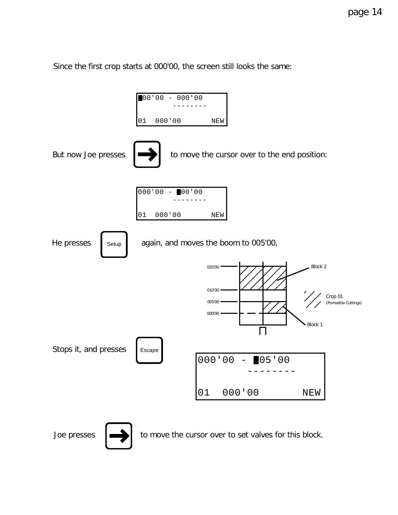Since the first crop starts at 000'00, the screen still looks the same:



Joe presses  $\left| \right|$  to move the cursor over to set valves for this block.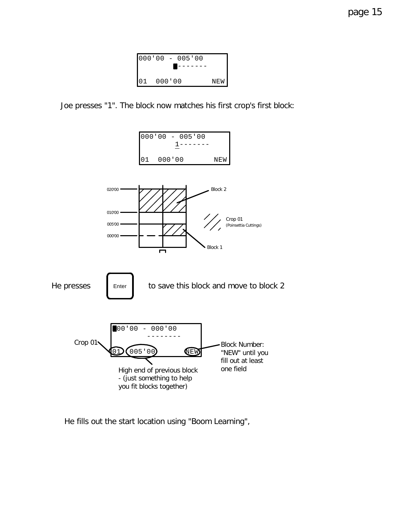



Joe presses "1". The block now matches his first crop's first block:



He fills out the start location using "Boom Learning",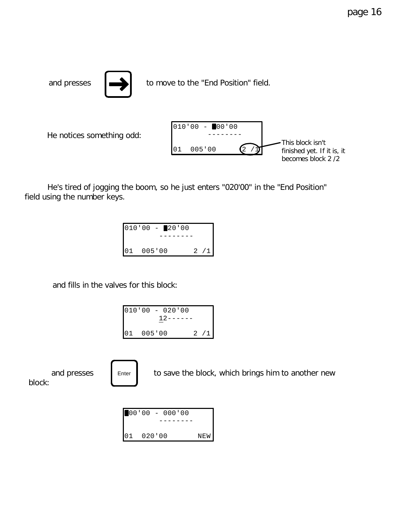and presses  $\left| \right|$  to move to the "End Position" field.  $010'00 - 00'00$  -------- 01 005'00  $(2 / 1)$ This block isn't He notices something odd:

 He's tired of jogging the boom, so he just enters "020'00" in the "End Position" field using the number keys.

| $010'00 - 20'00$ |        |  |  |     |
|------------------|--------|--|--|-----|
|                  |        |  |  |     |
| 01               | 005'00 |  |  | 2/1 |

and fills in the valves for this block:

Enter

|           |  | $010'00 - 020'00$<br>12------ |    |            |
|-----------|--|-------------------------------|----|------------|
| 01 005'00 |  |                               | 2. | $\sqrt{1}$ |

and presses  $\begin{array}{|c|c|} \hline \end{array}$  = Enter  $\begin{array}{|c|c|} \hline \end{array}$  to save the block, which brings him to another new block:



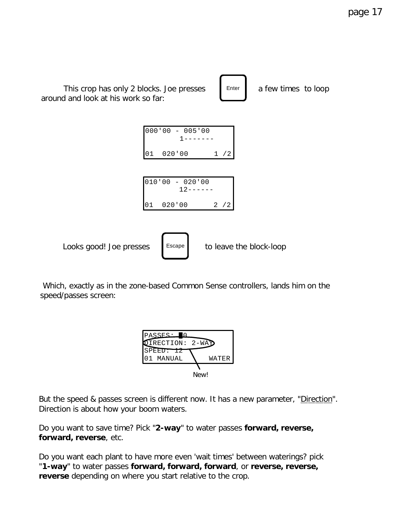

Which, exactly as in the zone-based Common Sense controllers, lands him on the speed/passes screen:

| PASSES:                               |       |
|---------------------------------------|-------|
| $\texttt{OIRECTION: } 2\texttt{-WAD}$ |       |
| SPEED: 12                             |       |
| MANUAL                                | WATER |
|                                       |       |
|                                       | New!  |

But the speed & passes screen is different now. It has a new parameter, "Direction". Direction is about how your boom waters.

Do you want to save time? Pick "**2-way**" to water passes **forward, reverse, forward, reverse**, etc.

Do you want each plant to have more even 'wait times' between waterings? pick "**1-way**" to water passes **forward, forward, forward**, or **reverse, reverse, reverse** depending on where you start relative to the crop.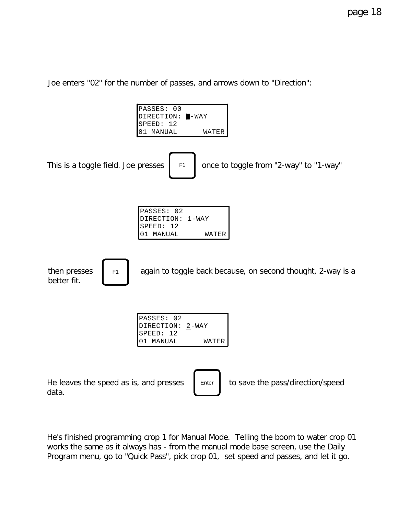Joe enters "02" for the number of passes, and arrows down to "Direction":



He's finished programming crop 1 for Manual Mode. Telling the boom to water crop 01 works the same as it always has - from the manual mode base screen, use the Daily Program menu, go to "Quick Pass", pick crop 01, set speed and passes, and let it go.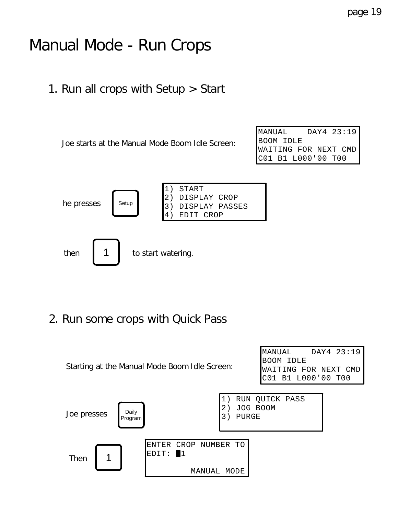### Manual Mode - Run Crops

1. Run all crops with Setup > Start

Joe starts at the Manual Mode Boom Idle Screen:

MANUAL DAY4 23:19 BOOM IDLE WAITING FOR NEXT CMD C01 B1 L000'00 T00



2. Run some crops with Quick Pass

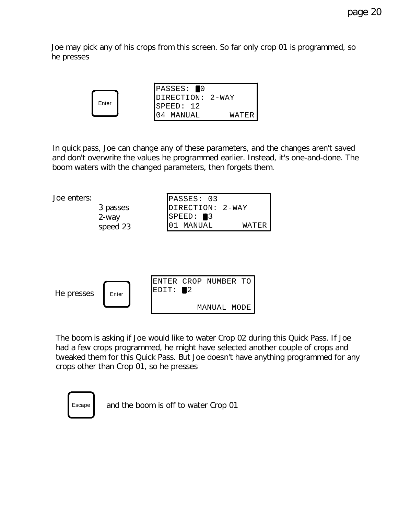Joe may pick any of his crops from this screen. So far only crop 01 is programmed, so he presses



In quick pass, Joe can change any of these parameters, and the changes aren't saved and don't overwrite the values he programmed earlier. Instead, it's one-and-done. The boom waters with the changed parameters, then forgets them.



The boom is asking if Joe would like to water Crop 02 during this Quick Pass. If Joe had a few crops programmed, he might have selected another couple of crops and tweaked them for this Quick Pass. But Joe doesn't have anything programmed for any crops other than Crop 01, so he presses

| Escape |  |
|--------|--|
|        |  |

and the boom is off to water Crop 01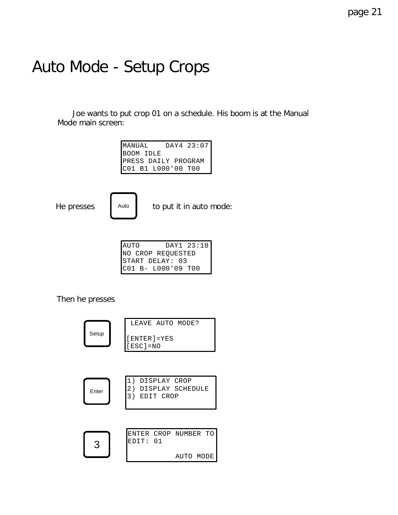### Auto Mode - Setup Crops

 Joe wants to put crop 01 on a schedule. His boom is at the Manual Mode main screen:

| MANUAL                                    | DAY4 23:07 |
|-------------------------------------------|------------|
| BOOM IDLE                                 |            |
| PRESS DAILY PROGRAM<br>C01 B1 L000'00 T00 |            |
|                                           |            |



He presses  $\blacksquare$  Auto to put it in auto mode:

| <b>AUTO</b>     | DAY1 23:18         |
|-----------------|--------------------|
|                 | NO CROP REQUESTED  |
| START DELAY: 03 |                    |
|                 | C01 B- L000'09 T00 |

Then he presses

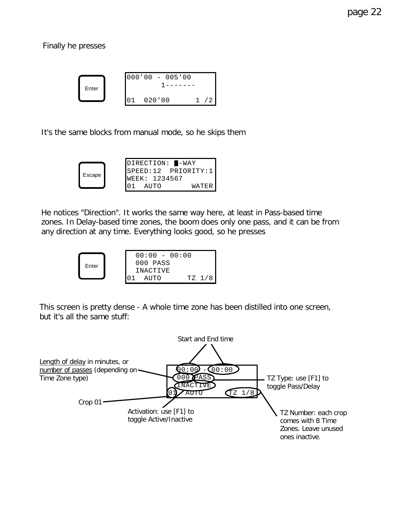Finally he presses



It's the same blocks from manual mode, so he skips them

|        |  | DIRECTION: <b>I-WAY</b> |                       |
|--------|--|-------------------------|-----------------------|
|        |  |                         | $SPEED:12$ PRIORITY:1 |
| Escape |  | WEEK: 1234567           |                       |
|        |  | AIITO                   |                       |

He notices "Direction". It works the same way here, at least in Pass-based time zones. In Delay-based time zones, the boom does only one pass, and it can be from any direction at any time. Everything looks good, so he presses



This screen is pretty dense - A whole time zone has been distilled into one screen, but it's all the same stuff:

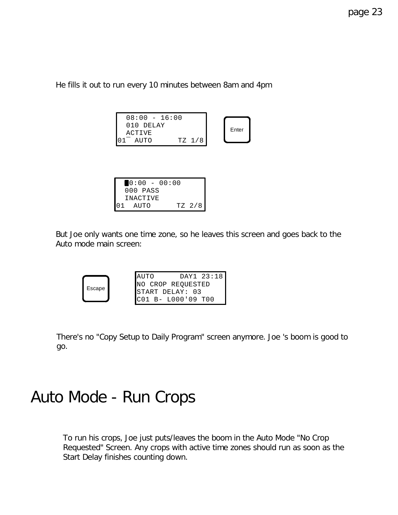He fills it out to run every 10 minutes between 8am and 4pm

| $08:00 - 16:00$<br>$010$ DELAY |        |       |
|--------------------------------|--------|-------|
| <b>ACTIVE</b>                  |        | Enter |
| AUTO                           | TZ 1/8 |       |

|         |          |  | $0:00 - 00:00$ |  |        |
|---------|----------|--|----------------|--|--------|
|         | 000 PASS |  |                |  |        |
|         | INACTIVE |  |                |  |        |
| 01 AUTO |          |  |                |  | TZ 2/8 |

But Joe only wants one time zone, so he leaves this screen and goes back to the Auto mode main screen:

|        | <b>AUTO</b>            |  | DAY1 23:18 |
|--------|------------------------|--|------------|
| Escape | NO CROP REQUESTED      |  |            |
|        | START DELAY: 03        |  |            |
|        | $CC01 B - LO00'09 T00$ |  |            |

There's no "Copy Setup to Daily Program" screen anymore. Joe 's boom is good to go.

### Auto Mode - Run Crops

To run his crops, Joe just puts/leaves the boom in the Auto Mode "No Crop Requested" Screen. Any crops with active time zones should run as soon as the Start Delay finishes counting down.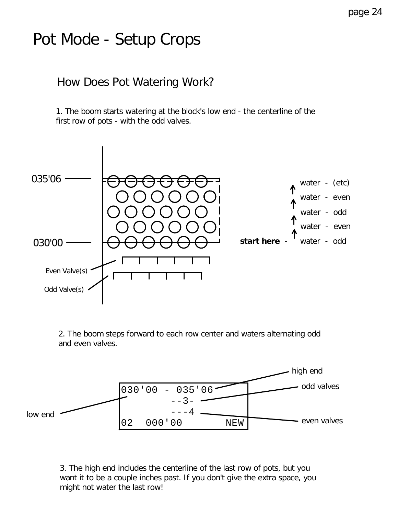### Pot Mode - Setup Crops

#### How Does Pot Watering Work?

1. The boom starts watering at the block's low end - the centerline of the first row of pots - with the odd valves.



2. The boom steps forward to each row center and waters alternating odd and even valves.



3. The high end *includes* the centerline of the last row of pots, but you want it to be a couple inches past. If you don't give the extra space, you might not water the last row!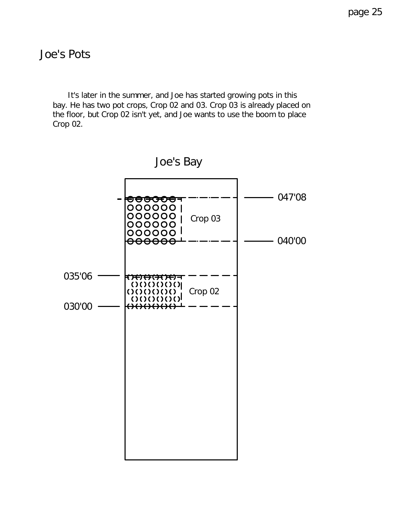#### Joe's Pots

 It's later in the summer, and Joe has started growing pots in this bay. He has two pot crops, Crop 02 and 03. Crop 03 is already placed on the floor, but Crop 02 isn't yet, and Joe wants to use the boom to place Crop 02.

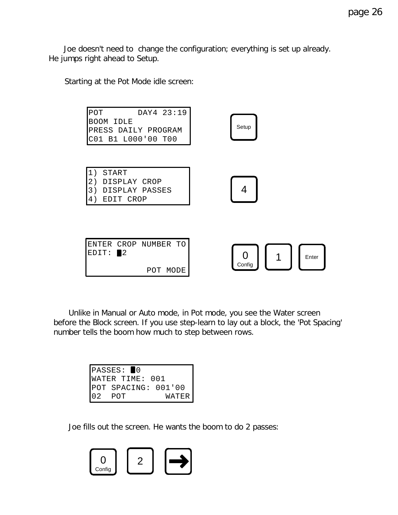Joe doesn't need to change the configuration; everything is set up already. He jumps right ahead to Setup.

Starting at the Pot Mode idle screen:



 Unlike in Manual or Auto mode, in Pot mode, you see the Water screen before the Block screen. If you use step-learn to lay out a block, the 'Pot Spacing' number tells the boom how much to step between rows.

|       | PASSES: ■0          |
|-------|---------------------|
|       | WATER TIME: 001     |
|       | POT SPACING: 001'00 |
| D. 2. | WATER<br>POT        |

Joe fills out the screen. He wants the boom to do 2 passes:

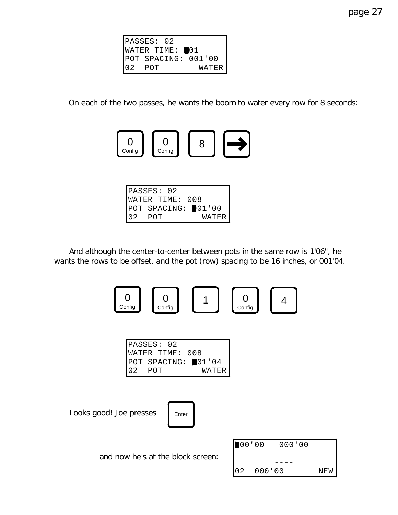|     | PASSES: 02          |              |
|-----|---------------------|--------------|
|     | WATER TIME: 01      |              |
|     | POT SPACING: 001'00 |              |
| 102 | POT                 | <b>WATER</b> |

On each of the two passes, he wants the boom to water every row for 8 seconds:



| PASSES: 02         |       |
|--------------------|-------|
| WATER TIME: 008    |       |
| POT SPACING: 01'00 |       |
| POT                | WATER |

 And although the center-to-center between pots in the same row is 1'06", he wants the rows to be offset, and the pot (row) spacing to be 16 inches, or 001'04.



|           | PASSES: 02         |        |
|-----------|--------------------|--------|
|           | WATER TIME: 008    |        |
|           | POT SPACING: 01'04 |        |
| $ 02$ POT |                    | WATERI |

Looks good! Joe presses | Enter



and now he's at the block screen:

|    |        | $\blacksquare$ 00'00 - 000'00 |     |
|----|--------|-------------------------------|-----|
|    |        |                               |     |
|    |        |                               |     |
| 02 | 000'00 |                               | NEW |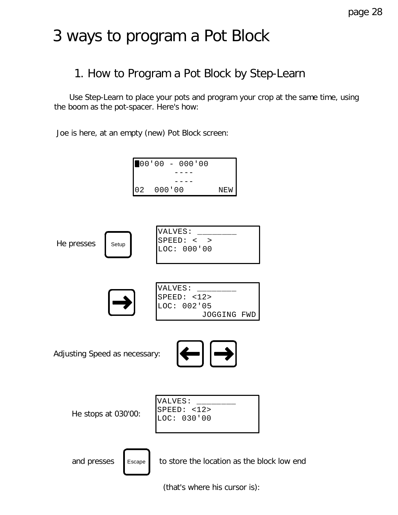### 3 ways to program a Pot Block

#### 1. How to Program a Pot Block by Step-Learn

 Use Step-Learn to place your pots and program your crop at the same time, using the boom as the pot-spacer. Here's how:

Joe is here, at an empty (new) Pot Block screen:



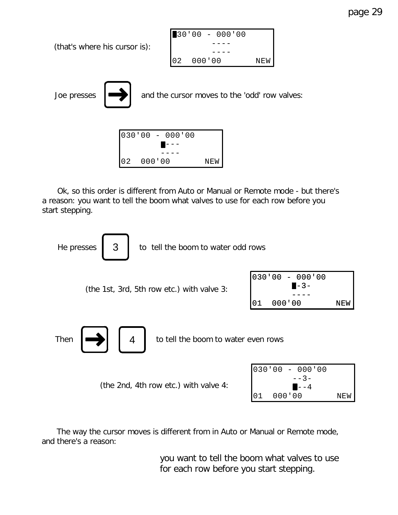page 29



 Ok, so this order is different from Auto or Manual or Remote mode - but there's a reason: you want to tell the boom what valves to use for each row before you start stepping.



 The way the cursor moves is different from in Auto or Manual or Remote mode, and there's a reason:

> *you want to tell the boom what valves to use for each row before you start stepping.*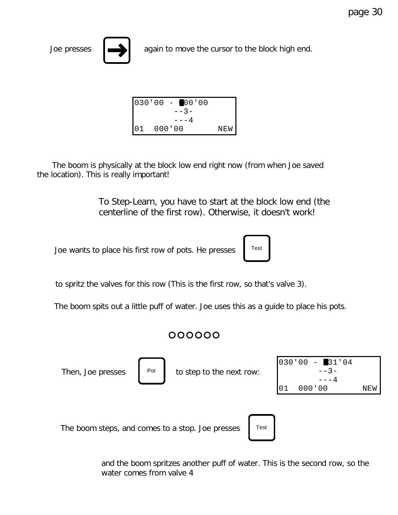



Joe presses  $\left| \right|$  again to move the cursor to the block high end.

| 030'00 | $- 00'00$ |     |
|--------|-----------|-----|
|        | $- - 3 -$ |     |
|        | – – – 4   |     |
| 01     | 000'00    | NEW |

 The boom is physically at the block low end right now (from when Joe saved the location). This is really important!

> *To Step-Learn, you have to start at the block low end (the centerline of the first row). Otherwise, it doesn't work!*

> > Test

Joe wants to place his first row of pots. He presses



The boom spits out a little puff of water. Joe uses this as a guide to place his pots.

#### 000000



and the boom spritzes another puff of water. This is the second row, so the water comes from valve 4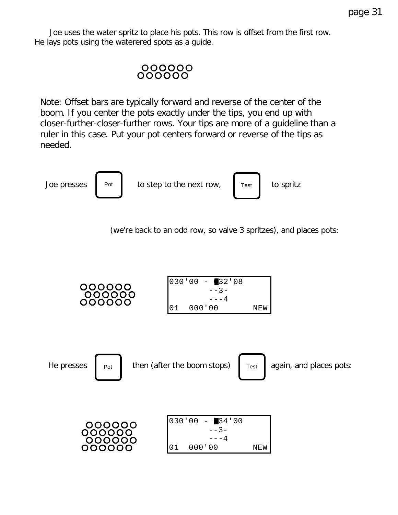Joe uses the water spritz to place his pots. This row is offset from the first row. He lays pots using the waterered spots as a guide.

#### 000000 000000

*Note: Offset bars are typically forward and reverse of the center of the boom. If you center the pots exactly under the tips, you end up with closer-further-closer-further rows. Your tips are more of a guideline than a ruler in this case. Put your pot centers forward or reverse of the tips as needed.*

Joe presses to step to the next row, to spritz Pot Test



(we're back to an odd row, so valve 3 spritzes), and places pots:

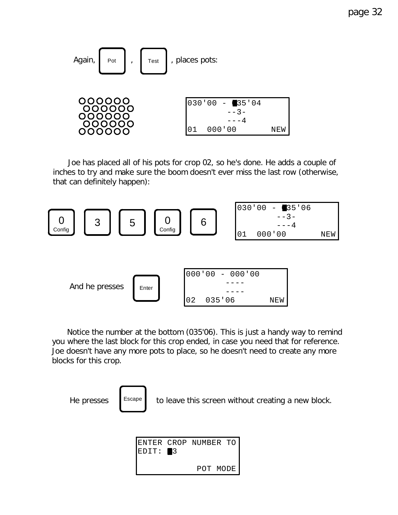

 Joe has placed all of his pots for crop 02, so he's done. He adds a couple of inches to try and make sure the boom doesn't ever miss the last row (otherwise, that can definitely happen):



 Notice the number at the bottom (035'06). This is just a handy way to remind you where the last block for this crop ended, in case you need that for reference. Joe doesn't have any more pots to place, so he doesn't need to create any more blocks for this crop.



He presses  $\left\| \right\|$  Escape to leave this screen without creating a new block.

| $EDIT: \blacksquare3$ | ENTER CROP NUMBER TO |  |  |
|-----------------------|----------------------|--|--|
|                       | POT MODE             |  |  |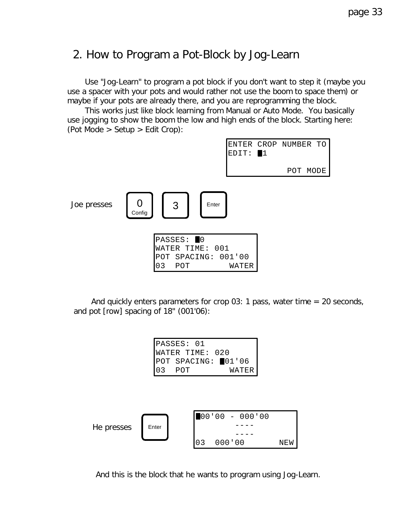#### 2. How to Program a Pot-Block by Jog-Learn

 Use "Jog-Learn" to program a pot block if you don't want to step it (maybe you use a spacer with your pots and would rather not use the boom to space them) or maybe if your pots are already there, and you are reprogramming the block.

 This works just like block learning from Manual or Auto Mode. You basically use jogging to show the boom the low and high ends of the block. Starting here: (Pot Mode > Setup > Edit Crop):



And quickly enters parameters for crop 03: 1 pass, water time  $= 20$  seconds, and pot [row] spacing of 18" (001'06):

```
PASSES: 01
WATER TIME: 020
POT SPACING: 01'06
03 POT WATER
```


And this is the block that he wants to program using Jog-Learn.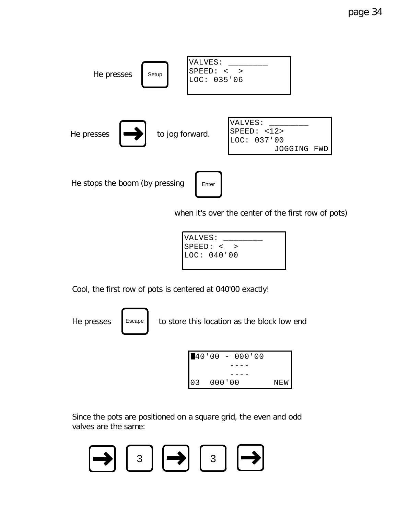

when it's over the center of the first row of pots)



Cool, the first row of pots is centered at 040'00 exactly!

He presses  $\left| \right|$  Escape to store this location as the block low end



Since the pots are positioned on a square grid, the even and odd valves are the same:

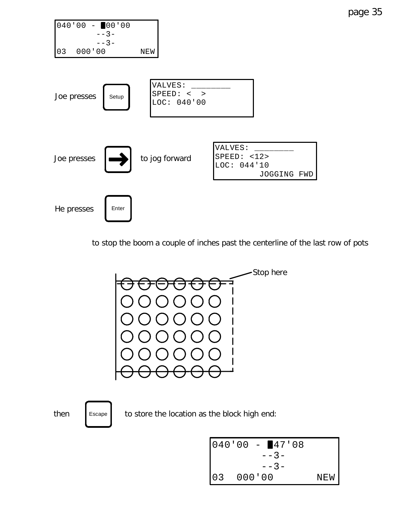

to stop the boom a couple of inches past the centerline of the last row of pots



then  $\left\lceil \frac{1}{2} \right\rceil$  scape to store the location as the block high end:

$$
\begin{bmatrix}\n040'00 - 47'08 \\
-3 \\
-3 \\
-3 \\
03 & 000'00\n\end{bmatrix}
$$
 NEW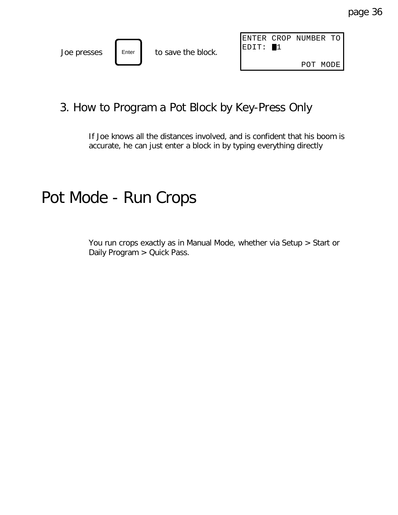|             |       |                    |                   | ENTER CROP NUMBER TO |       |
|-------------|-------|--------------------|-------------------|----------------------|-------|
| Joe presses | Enter | to save the block. | $\texttt{IEDIT}:$ |                      |       |
|             |       |                    |                   | <b>POT</b>           | MODE. |

#### 3. How to Program a Pot Block by Key-Press Only

If Joe knows all the distances involved, and is confident that his boom is accurate, he can just enter a block in by typing everything directly

### Pot Mode - Run Crops

You run crops exactly as in Manual Mode, whether via Setup > Start or Daily Program > Quick Pass.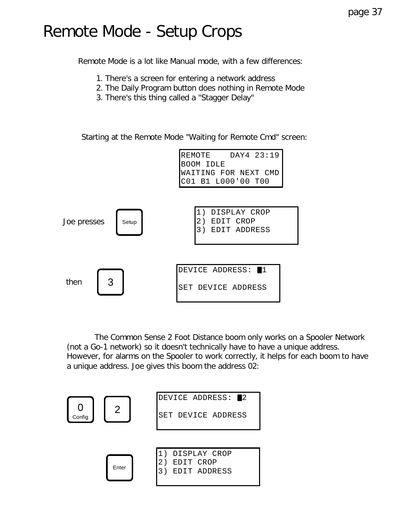### Remote Mode - Setup Crops

Remote Mode is a lot like Manual mode, with a few differences:

- 1. There's a screen for entering a network address
- 2. The Daily Program button does nothing in Remote Mode
- 3. There's this thing called a "Stagger Delay"

Starting at the Remote Mode "Waiting for Remote Cmd" screen:



 The Common Sense 2 Foot Distance boom only works on a Spooler Network (not a Go-1 network) so it doesn't technically *have* to have a unique address. However, for alarms on the Spooler to work correctly, it helps for each boom to have a unique address. Joe gives this boom the address 02:

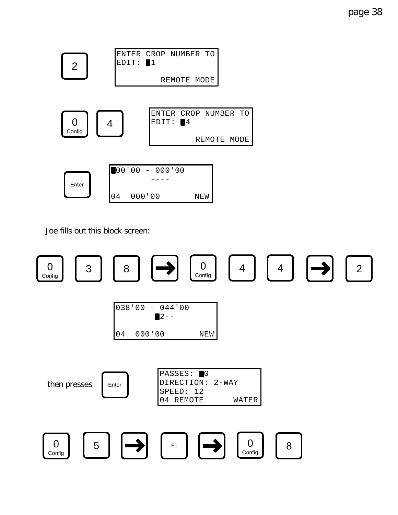



Joe fills out this block screen:

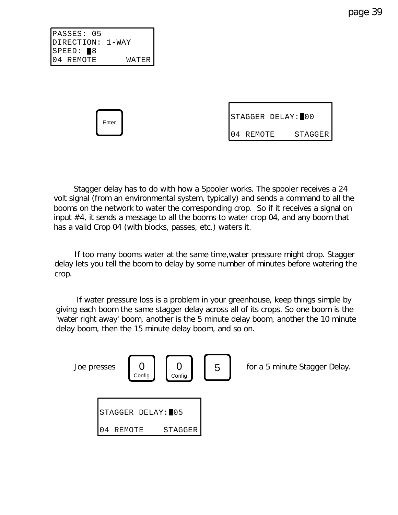page 39

PASSES: 05 DIRECTION: 1-WAY  $SPEED:  $\blacksquare 8$$ 04 REMOTE WATER

Enter

|           | STAGGER DELAY: 00 |                |
|-----------|-------------------|----------------|
| 04 REMOTE |                   | <b>STAGGER</b> |

 Stagger delay has to do with how a Spooler works. The spooler receives a 24 volt signal (from an environmental system, typically) and sends a command to all the booms on the network to water the corresponding crop. So if it receives a signal on input #4, it sends a message to all the booms to water crop 04, and any boom that has a valid Crop 04 (with blocks, passes, etc.) waters it.

 If too many booms water at the same time,water pressure might drop. Stagger delay lets you tell the boom to delay by some number of minutes before watering the crop.

 If water pressure loss is a problem in your greenhouse, keep things simple by giving each boom the same stagger delay across all of its crops. So one boom is the 'water right away' boom, another is the 5 minute delay boom, another the 10 minute delay boom, then the 15 minute delay boom, and so on.

| Joe presses | Config            | Config  | 5 | for a 5 minute Stagger Delay. |
|-------------|-------------------|---------|---|-------------------------------|
|             | STAGGER DELAY: 05 |         |   |                               |
| 04          | REMOTE            | STAGGER |   |                               |